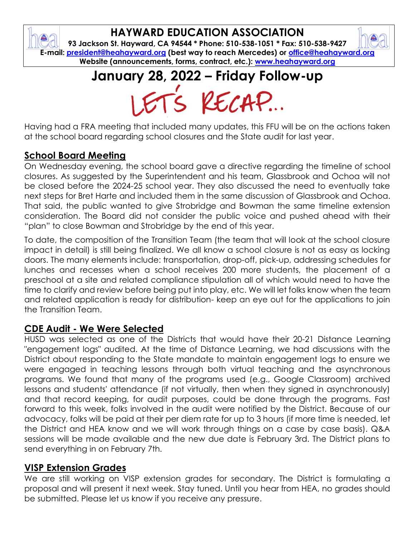## **HAYWARD EDUCATION ASSOCIATION**

**93 Jackson St. Hayward, CA 94544 \* Phone: 510-538-1051 \* Fax: 510-538-9427 E-mail: [president@heahayward.org](mailto:president@heahayward.org) (best way to reach Mercedes) or [office@heahayward.org](mailto:office@heahayward.org) Website (announcements, forms, contract, etc.): [www.heahayward.org](http://www.heahayward.org/)**

**January 28, 2022 – Friday Follow-up**

Having had a FRA meeting that included many updates, this FFU will be on the actions taken at the school board regarding school closures and the State audit for last year.

## **School Board Meeting**

On Wednesday evening, the school board gave a directive regarding the timeline of school closures. As suggested by the Superintendent and his team, Glassbrook and Ochoa will not be closed before the 2024-25 school year. They also discussed the need to eventually take next steps for Bret Harte and included them in the same discussion of Glassbrook and Ochoa. That said, the public wanted to give Strobridge and Bowman the same timeline extension consideration. The Board did not consider the public voice and pushed ahead with their "plan" to close Bowman and Strobridge by the end of this year.

To date, the composition of the Transition Team (the team that will look at the school closure impact in detail) is still being finalized. We all know a school closure is not as easy as locking doors. The many elements include: transportation, drop-off, pick-up, addressing schedules for lunches and recesses when a school receives 200 more students, the placement of a preschool at a site and related compliance stipulation all of which would need to have the time to clarify and review before being put into play, etc. We will let folks know when the team and related application is ready for distribution- keep an eye out for the applications to join the Transition Team.

## **CDE Audit - We Were Selected**

HUSD was selected as one of the Districts that would have their 20-21 Distance Learning "engagement logs" audited. At the time of Distance Learning, we had discussions with the District about responding to the State mandate to maintain engagement logs to ensure we were engaged in teaching lessons through both virtual teaching and the asynchronous programs. We found that many of the programs used (e.g., Google Classroom) archived lessons and students' attendance (if not virtually, then when they signed in asynchronously) and that record keeping, for audit purposes, could be done through the programs. Fast forward to this week, folks involved in the audit were notified by the District. Because of our advocacy, folks will be paid at their per diem rate for up to 3 hours (if more time is needed, let the District and HEA know and we will work through things on a case by case basis). Q&A sessions will be made available and the new due date is February 3rd. The District plans to send everything in on February 7th.

#### **VISP Extension Grades**

We are still working on VISP extension grades for secondary. The District is formulating a proposal and will present it next week. Stay tuned. Until you hear from HEA, no grades should be submitted. Please let us know if you receive any pressure.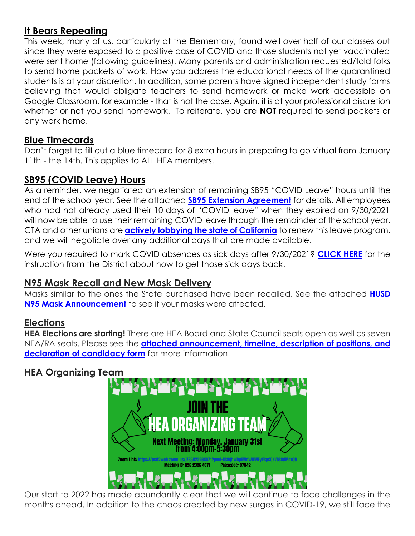## **It Bears Repeating**

This week, many of us, particularly at the Elementary, found well over half of our classes out since they were exposed to a positive case of COVID and those students not yet vaccinated were sent home (following guidelines). Many parents and administration requested/told folks to send home packets of work. How you address the educational needs of the quarantined students is at your discretion. In addition, some parents have signed independent study forms believing that would obligate teachers to send homework or make work accessible on Google Classroom, for example - that is not the case. Again, it is at your professional discretion whether or not you send homework. To reiterate, you are **NOT** required to send packets or any work home.

#### **Blue Timecards**

Don't forget to fill out a blue timecard for 8 extra hours in preparing to go virtual from January 11th - the 14th. This applies to ALL HEA members.

## **SB95 (COVID Leave) Hours**

As a reminder, we negotiated an extension of remaining SB95 "COVID Leave" hours until the end of the school year. See the attached **[SB95 Extension Agreement](https://docs.google.com/document/d/15u63Drxm5Rd3tsxJwK-CvddqrqM1S-GR/edit?usp=sharing&ouid=106387318619838498065&rtpof=true&sd=true)** for details. All employees who had not already used their 10 days of "COVID leave" when they expired on 9/30/2021 will now be able to use their remaining COVID leave through the remainder of the school year. CTA and other unions are **[actively lobbying the state of California](https://drive.google.com/file/d/10o7g-E52gN30WHF5H46yXfAtmTCk_7ig/view?usp=sharing)** to renew this leave program, and we will negotiate over any additional days that are made available.

Were you required to mark COVID absences as sick days after 9/30/2021? **[CLICK HERE](https://drive.google.com/file/d/1sRLO2DM2xYHMeSgECUM0CFkndKnz-Rgu/view?usp=sharing)** for the instruction from the District about how to get those sick days back.

#### **N95 Mask Recall and New Mask Delivery**

Masks similar to the ones the State purchased have been recalled. See the attached **[HUSD](https://drive.google.com/file/d/1QPgUW2xGCHmztuT9xOITzxN2t4kPp4nZ/view?usp=sharing)  [N95 Mask Announcement](https://drive.google.com/file/d/1QPgUW2xGCHmztuT9xOITzxN2t4kPp4nZ/view?usp=sharing)** to see if your masks were affected.

#### **Elections**

**HEA Elections are starting!** There are HEA Board and State Council seats open as well as seven NEA/RA seats. Please see the **[attached announcement, timeline,](https://drive.google.com/drive/folders/1Fbl0qyty9WhAgZVRV1LOMSHzml4dpXhh?usp=sharing) description of positions, and [declaration of candidacy form](https://drive.google.com/drive/folders/1Fbl0qyty9WhAgZVRV1LOMSHzml4dpXhh?usp=sharing)** for more information.

#### **HEA Organizing Team**



Our start to 2022 has made abundantly clear that we will continue to face challenges in the months ahead. In addition to the chaos created by new surges in COVID-19, we still face the